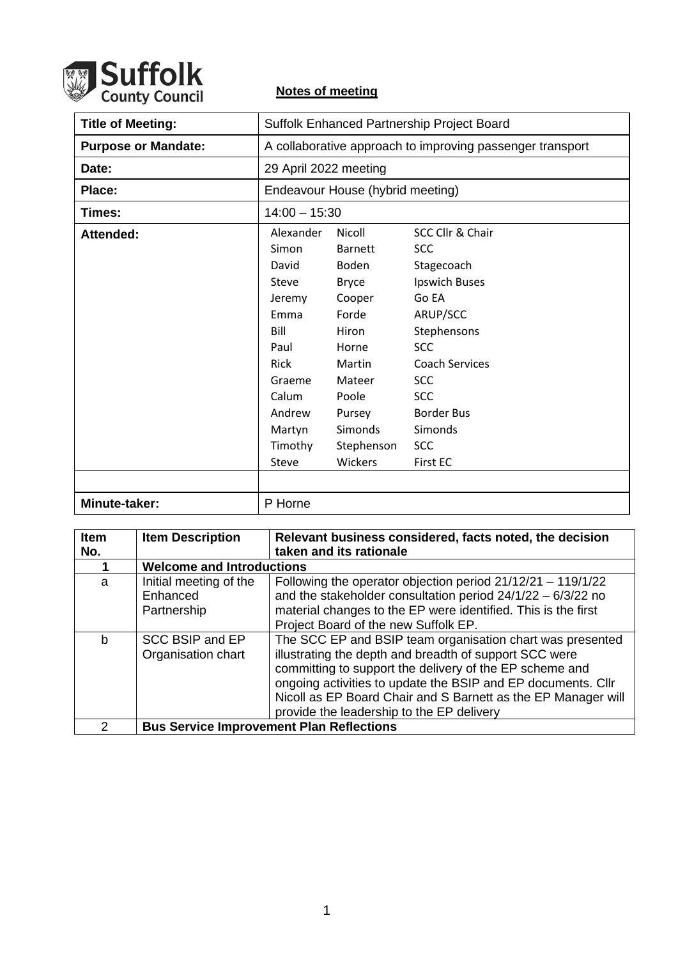

## **Notes of meeting**

| <b>Title of Meeting:</b>   | Suffolk Enhanced Partnership Project Board                                                      |                                                                                                                   |                                                                                                                                                        |
|----------------------------|-------------------------------------------------------------------------------------------------|-------------------------------------------------------------------------------------------------------------------|--------------------------------------------------------------------------------------------------------------------------------------------------------|
| <b>Purpose or Mandate:</b> | A collaborative approach to improving passenger transport                                       |                                                                                                                   |                                                                                                                                                        |
| Date:                      | 29 April 2022 meeting                                                                           |                                                                                                                   |                                                                                                                                                        |
| Place:                     | Endeavour House (hybrid meeting)                                                                |                                                                                                                   |                                                                                                                                                        |
| Times:                     | $14:00 - 15:30$                                                                                 |                                                                                                                   |                                                                                                                                                        |
| Attended:                  | Alexander<br>Simon<br>David<br>Steve<br>Jeremy<br>Emma<br>Bill<br>Paul<br><b>Rick</b><br>Graeme | <b>Nicoll</b><br><b>Barnett</b><br>Boden<br><b>Bryce</b><br>Cooper<br>Forde<br>Hiron<br>Horne<br>Martin<br>Mateer | SCC Cllr & Chair<br><b>SCC</b><br>Stagecoach<br>Ipswich Buses<br>Go EA<br>ARUP/SCC<br>Stephensons<br><b>SCC</b><br><b>Coach Services</b><br><b>SCC</b> |
|                            | Calum<br>Andrew<br>Martyn<br>Timothy<br>Steve                                                   | Poole<br>Pursey<br>Simonds<br>Stephenson<br>Wickers                                                               | <b>SCC</b><br><b>Border Bus</b><br>Simonds<br><b>SCC</b><br><b>First EC</b>                                                                            |
| Minute-taker:              | P Horne                                                                                         |                                                                                                                   |                                                                                                                                                        |

| Item<br>No.   | <b>Item Description</b>                           | Relevant business considered, facts noted, the decision<br>taken and its rationale                                                                                                                                                                                                                                                                           |  |
|---------------|---------------------------------------------------|--------------------------------------------------------------------------------------------------------------------------------------------------------------------------------------------------------------------------------------------------------------------------------------------------------------------------------------------------------------|--|
|               | <b>Welcome and Introductions</b>                  |                                                                                                                                                                                                                                                                                                                                                              |  |
| a             | Initial meeting of the<br>Enhanced<br>Partnership | Following the operator objection period 21/12/21 - 119/1/22<br>and the stakeholder consultation period $24/1/22 - 6/3/22$ no<br>material changes to the EP were identified. This is the first<br>Project Board of the new Suffolk EP.                                                                                                                        |  |
| b             | SCC BSIP and EP<br>Organisation chart             | The SCC EP and BSIP team organisation chart was presented<br>illustrating the depth and breadth of support SCC were<br>committing to support the delivery of the EP scheme and<br>ongoing activities to update the BSIP and EP documents. Cllr<br>Nicoll as EP Board Chair and S Barnett as the EP Manager will<br>provide the leadership to the EP delivery |  |
| $\mathcal{P}$ |                                                   | <b>Bus Service Improvement Plan Reflections</b>                                                                                                                                                                                                                                                                                                              |  |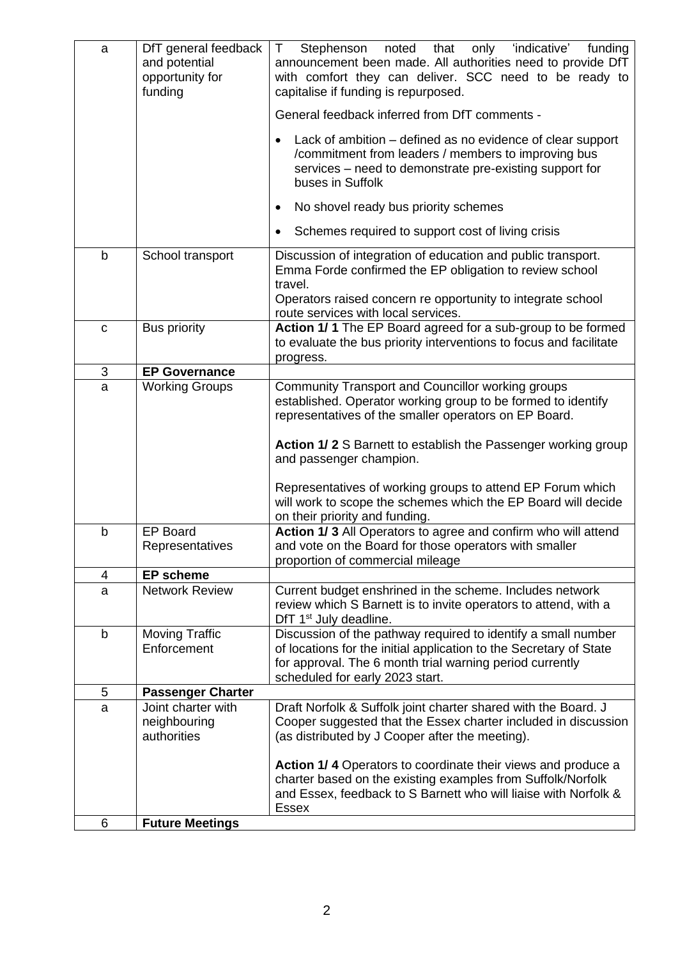| a           | DfT general feedback<br>and potential<br>opportunity for<br>funding | only 'indicative'<br>T.<br>Stephenson<br>noted<br>that<br>funding<br>announcement been made. All authorities need to provide DfT<br>with comfort they can deliver. SCC need to be ready to<br>capitalise if funding is repurposed. |
|-------------|---------------------------------------------------------------------|------------------------------------------------------------------------------------------------------------------------------------------------------------------------------------------------------------------------------------|
|             |                                                                     | General feedback inferred from DfT comments -                                                                                                                                                                                      |
|             |                                                                     | Lack of ambition – defined as no evidence of clear support<br>$\bullet$<br>/commitment from leaders / members to improving bus<br>services – need to demonstrate pre-existing support for<br>buses in Suffolk                      |
|             |                                                                     | No shovel ready bus priority schemes<br>$\bullet$                                                                                                                                                                                  |
|             |                                                                     | Schemes required to support cost of living crisis<br>٠                                                                                                                                                                             |
| b           | School transport                                                    | Discussion of integration of education and public transport.<br>Emma Forde confirmed the EP obligation to review school<br>travel.<br>Operators raised concern re opportunity to integrate school                                  |
|             |                                                                     | route services with local services.                                                                                                                                                                                                |
| C           | <b>Bus priority</b>                                                 | Action 1/1 The EP Board agreed for a sub-group to be formed<br>to evaluate the bus priority interventions to focus and facilitate<br>progress.                                                                                     |
| 3           | <b>EP Governance</b>                                                |                                                                                                                                                                                                                                    |
| a           | <b>Working Groups</b>                                               | Community Transport and Councillor working groups<br>established. Operator working group to be formed to identify<br>representatives of the smaller operators on EP Board.                                                         |
|             |                                                                     | <b>Action 1/2 S Barnett to establish the Passenger working group</b><br>and passenger champion.                                                                                                                                    |
|             |                                                                     | Representatives of working groups to attend EP Forum which<br>will work to scope the schemes which the EP Board will decide<br>on their priority and funding.                                                                      |
| b           | <b>EP Board</b><br>Representatives                                  | Action 1/3 All Operators to agree and confirm who will attend<br>and vote on the Board for those operators with smaller<br>proportion of commercial mileage                                                                        |
| 4           | <b>EP scheme</b>                                                    |                                                                                                                                                                                                                                    |
| a           | <b>Network Review</b>                                               | Current budget enshrined in the scheme. Includes network<br>review which S Barnett is to invite operators to attend, with a<br>DfT 1 <sup>st</sup> July deadline.                                                                  |
| $\mathsf b$ | <b>Moving Traffic</b><br>Enforcement                                | Discussion of the pathway required to identify a small number<br>of locations for the initial application to the Secretary of State<br>for approval. The 6 month trial warning period currently<br>scheduled for early 2023 start. |
| 5           | <b>Passenger Charter</b>                                            |                                                                                                                                                                                                                                    |
| a           | Joint charter with<br>neighbouring<br>authorities                   | Draft Norfolk & Suffolk joint charter shared with the Board. J<br>Cooper suggested that the Essex charter included in discussion<br>(as distributed by J Cooper after the meeting).                                                |
|             |                                                                     | <b>Action 1/4 Operators to coordinate their views and produce a</b><br>charter based on the existing examples from Suffolk/Norfolk<br>and Essex, feedback to S Barnett who will liaise with Norfolk &<br><b>Essex</b>              |
| 6           | <b>Future Meetings</b>                                              |                                                                                                                                                                                                                                    |